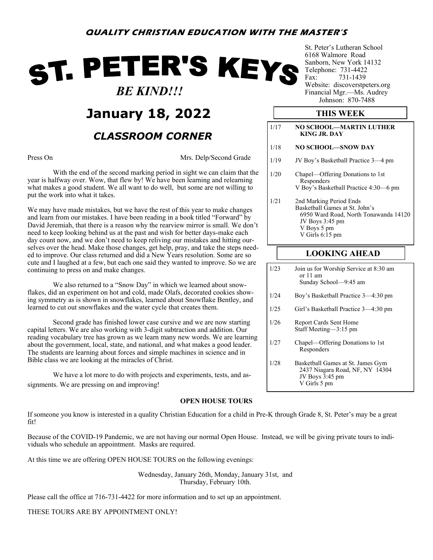# ST. PETER'S KEYS  *BE KIND!!!*

## **January 18, 2022**

### *CLASSROOM CORNER*

Press On Mrs. Delp/Second Grade

With the end of the second marking period in sight we can claim that the year is halfway over. Wow, that flew by! We have been learning and relearning what makes a good student. We all want to do well, but some are not willing to put the work into what it takes.

We may have made mistakes, but we have the rest of this year to make changes and learn from our mistakes. I have been reading in a book titled "Forward" by David Jeremiah, that there is a reason why the rearview mirror is small. We don't need to keep looking behind us at the past and wish for better days-make each day count now, and we don't need to keep reliving our mistakes and hitting ourselves over the head. Make those changes, get help, pray, and take the steps needed to improve. Our class returned and did a New Years resolution. Some are so cute and I laughed at a few, but each one said they wanted to improve. So we are continuing to press on and make changes.

We also returned to a "Snow Day" in which we learned about snowflakes, did an experiment on hot and cold, made Olafs, decorated cookies showing symmetry as is shown in snowflakes, learned about Snowflake Bentley, and learned to cut out snowflakes and the water cycle that creates them.

Second grade has finished lower case cursive and we are now starting capital letters. We are also working with 3-digit subtraction and addition. Our reading vocabulary tree has grown as we learn many new words. We are learning about the government, local, state, and national, and what makes a good leader. The students are learning about forces and simple machines in science and in Bible class we are looking at the miracles of Christ.

We have a lot more to do with projects and experiments, tests, and assignments. We are pressing on and improving!

#### **OPEN HOUSE TOURS**

If someone you know is interested in a quality Christian Education for a child in Pre-K through Grade 8, St. Peter's may be a great fit!

Because of the COVID-19 Pandemic, we are not having our normal Open House. Instead, we will be giving private tours to individuals who schedule an appointment. Masks are required.

At this time we are offering OPEN HOUSE TOURS on the following evenings:

Wednesday, January 26th, Monday, January 31st, and Thursday, February 10th.

Please call the office at 716-731-4422 for more information and to set up an appointment.

THESE TOURS ARE BY APPOINTMENT ONLY!

St. Peter's Lutheran School 6168 Walmore Road Sanborn, New York 14132 Telephone: 731-4422 Fax: 731-1439 Website: discoverstpeters.org Financial Mgr.—Ms. Audrey Johnson: 870-7488

#### **THIS WEEK**

| 1/17 | NO SCHOOL—MARTIN LUTHER<br>KING JR. DAY                                                                                                                 |  |  |  |  |  |
|------|---------------------------------------------------------------------------------------------------------------------------------------------------------|--|--|--|--|--|
| 1/18 | <b>NO SCHOOL—SNOW DAY</b>                                                                                                                               |  |  |  |  |  |
| 1/19 | JV Boy's Basketball Practice 3—4 pm                                                                                                                     |  |  |  |  |  |
| 1/20 | Chapel—Offering Donations to 1st<br>Responders<br>V Boy's Basketball Practice 4:30—6 pm                                                                 |  |  |  |  |  |
| 1/21 | 2nd Marking Period Ends<br>Basketball Games at St. John's<br>6950 Ward Road, North Tonawanda 14120<br>JV Boys 3:45 pm<br>V Boys 5 pm<br>V Girls 6:15 pm |  |  |  |  |  |
|      | <b>LOOKING AHEAD</b>                                                                                                                                    |  |  |  |  |  |
| 1/23 | Join us for Worship Service at 8:30 am                                                                                                                  |  |  |  |  |  |

|      | or $11 \text{ am}$<br>Sunday School—9:45 am                                             |  |
|------|-----------------------------------------------------------------------------------------|--|
| 1/24 | Boy's Basketball Practice 3–4:30 pm                                                     |  |
| 1/25 | Girl's Basketball Practice 3—4:30 pm                                                    |  |
| 1/26 | Report Cards Sent Home<br>Staff Meeting—3:15 pm                                         |  |
| 1/27 | Chapel—Offering Donations to 1st<br>Responders                                          |  |
| 1/28 | Basketball Games at St. James Gym<br>2437 Niagara Road, NF, NY 14304<br>JV Boys 3:45 pm |  |

V Girls 5 pm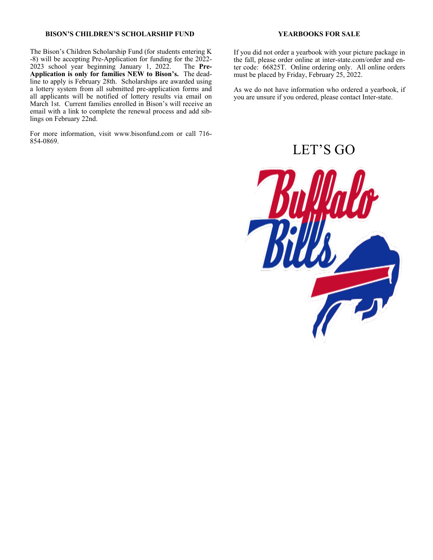#### **BISON'S CHILDREN'S SCHOLARSHIP FUND**

The Bison's Children Scholarship Fund (for students entering K -8) will be accepting Pre-Application for funding for the 2022-<br>2023 school year beginning January 1, 2022. The Pre-2023 school year beginning January 1, 2022. **Application is only for families NEW to Bison's.** The deadline to apply is February 28th. Scholarships are awarded using a lottery system from all submitted pre-application forms and all applicants will be notified of lottery results via email on March 1st. Current families enrolled in Bison's will receive an email with a link to complete the renewal process and add siblings on February 22nd.

For more information, visit www.bisonfund.com or call 716- 854-0869.

#### **YEARBOOKS FOR SALE**

If you did not order a yearbook with your picture package in the fall, please order online at inter-state.com/order and enter code: 66825T. Online ordering only. All online orders must be placed by Friday, February 25, 2022.

As we do not have information who ordered a yearbook, if you are unsure if you ordered, please contact Inter-state.

LET'S GO